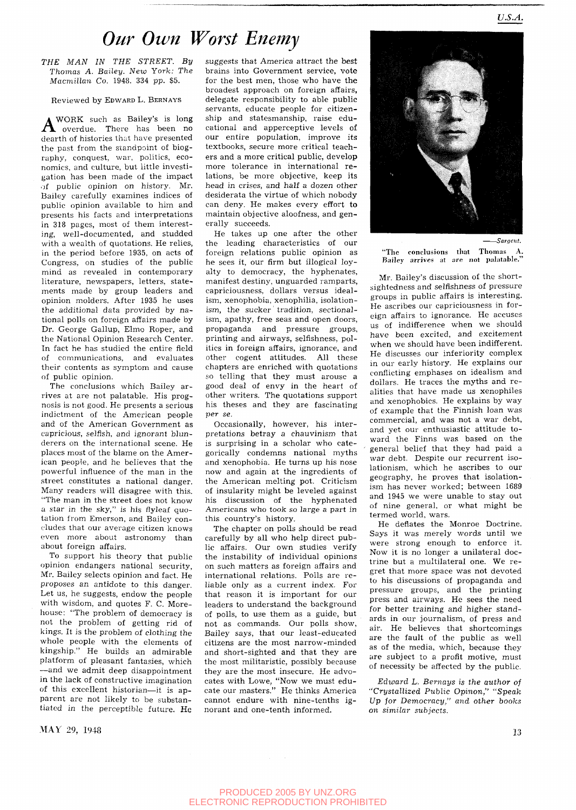## *Our Own Worst Enemy*

*THE MAN IN THE STREET. By Thomas A. Bailey. New York: The Macmillan Co.* 1948. 334 pp. \$5.

## Reviewed by EDWARD L. BERNAYS

**A** WORK such as Bailey's is long<br>overdue. There has been no WORK such as Bailey's is long dearth of histories that have presented the past from the standpoint of biography, conquest, war, politics, economics, and culture, but little investigation has been made of the impact of public opinion on history. Mr. Bailey carefully examines indices of public opinion available to him and presents his facts and interpretations in 318 pages, most of them interesting, well-documented, and studded with a wealth of quotations. He relies, in the period before 1935, on acts of Congress, on studies of the public mind as revealed in contemporary literature, newspapers, letters, statements made by group leaders and opinion molders. After 1935 he uses the additional data provided by national polls on foreign affairs made by Dr. George Gallup, Elmo Roper, and the National Opinion Research Center. In fact he has studied the entire field of communications, and evaluates their contents as symptom and cause of public opinion.

The conclusions which Bailey arrives at are not palatable. His prognosis is not good. He presents a serious indictment of the American people and of the American Government as capricious, selfish, and ignorant blunderers on the international scene. He places most of the blame on the American people, and he believes that the powerful influence of the man in the street constitutes a national danger. Many readers will disagree with this. "The man in the street does not know a star in the sky," is his flyleaf quotation from Emerson, and Bailey concludes that our average citizen knows even more about astronomy than about foreign affairs.

To support his theory that public opinion endangers national security, Mr. Bailey selects opinion and fact. He proposes an antidote to this danger. Let us, he suggests, endow the people with wisdom, and quotes F. C. Morehouse: "The problem of democracy is not the problem of getting rid of kings. It is the problem of clothing the whole people with the elements of kingship." He builds an admirable platform of pleasant fantasies, which —and we admit deep disappointment in the lack of constructive imagination of this excellent historian—it is apparent are not likely to be substantiated in the perceptible future. He

 $\rm{MAX}$  29, 1948 13

suggests that America attract the best brains into Government service, vote for the best men, those who have the broadest approach on foreign affairs, delegate responsibility to able public servants, educate people for citizenship and statesmanship, raise educational and apperceptive levels of our entire population, improve its textbooks, secure more critical teachers and a more critical public, develop more tolerance in international relations, be more objective, keep its head in crises, and half a dozen other desiderata the virtue of which nobody can deny. He makes every effort to maintain objective aloofness, and generally succeeds.

He takes up one after the other the leading characteristics of our foreign relations public opinion as he sees it, our firm but illogical loyalty to democracy, the hyphenates, manifest destiny, unguarded ramparts, capriciousness, dollars versus idealism, xenophobia, xenophilia, isolationism, the sucker tradition, sectionalism, apathy, free seas and open doors, propaganda and pressure groups, printing and airways, selfishness, politics in foreign affairs, ignorance, and other cogent attitudes. All these chapters are enriched with quotations so telling that they must arouse a good deal of envy in the heart of other writers. The quotations support his theses and they are fascinating *per se.* 

Occasionally, however, his interpretations betray a chauvinism that is surprising in a scholar who categorically condemns national myths and xenophobia. He turns up his nose now and again at the ingredients of the American melting pot. Criticism of insularity might be leveled against his discussion of the hyphenated Americans who took so large a part in this country's history.

The chapter on polls should be read carefully by all who help direct public affairs. Our own studies verify the instability of individual opinions on such matters as foreign affairs and international relations. Polls are reliable only as a current index. For that reason it is important for our leaders to understand the background of polls, to use them as a guide, but not as commands. Our polls show, Bailey says, that our least-educated citizens are the most narrow-minded and short-sighted and that they are the most militaristic, possibly because they are the most insecure. He advocates with Lowe, "Now we must educate our masters." He thinks America cannot endure with nine-tenths ignorant and one-tenth informed.



"The conclusions that Thomas A. Bailey arrives at are not palatable."

Mr. Bailey's discussion of the shortsightedness and selfishness of pressure groups in public affairs is interesting. He ascribes our capriciousness in foreign affairs to ignorance. He accuses us of indifference when we should have been excited, and excitement when we should have been indifferent. He discusses our inferiority complex in our early history. He explains our conflicting emphases on idealism and dollars. He traces the myths and realities that have made us xenophiles and xenophobics. He explains by way of example that the Finnish loan was commercial, and was not a war debt, and yet our enthusiastic attitude toward the Finns was based on the general belief that they had paid a war debt. Despite our recurrent isolationism, which he ascribes to our geography, he proves that isolationism has never worked; between 1689 and 1945 we were unable to stay out of nine general, or what might be termed world, wars.

He deflates the Monroe Doctrine. Says it was merely words until we were strong enough to enforce it. Now it is no longer a unilateral doctrine but a multilateral one. We regret that more space was not devoted to his discussions of propaganda and pressure groups, and the printing press and airways. He sees the need for better training and higher standards in our journalism, of press and air. He believes that shortcomings are the fault of the public as well as of the media, which, because they are subject to a profit motive, must of necessity be affected by the public.

*Edward L. Bernays is the author* of *''Crystallized Public Opinon," "Speak Up jor Democracy," and other books on similar subjects.*